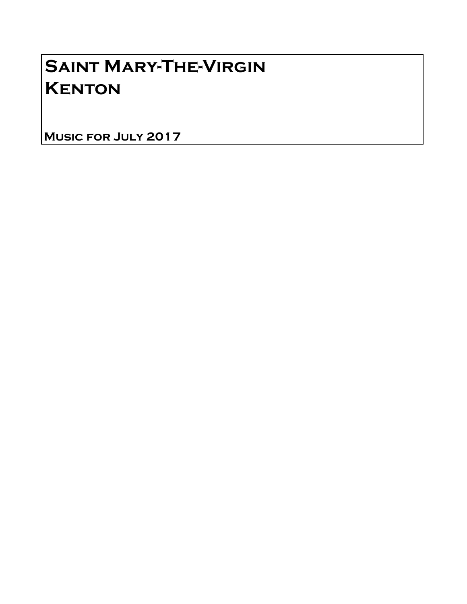# Saint Mary-The-Virgin **KENTON**

Music for July 2017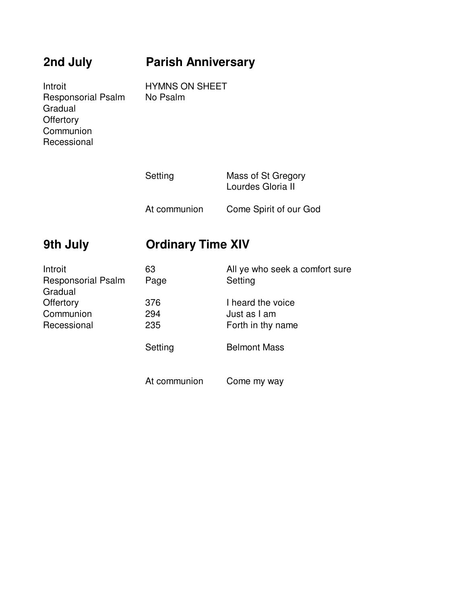## **2nd July Parish Anniversary**

Introit HYMNS ON SHEET<br>Responsorial Psalm No Psalm Responsorial Psalm Gradual **Offertory Communion** Recessional

| Setting      | Mass of St Gregory<br>Lourdes Gloria II |  |
|--------------|-----------------------------------------|--|
| At communion | Come Spirit of our God                  |  |

### **9th July Ordinary Time XIV**

| Introit                   | 63           | All ye who seek a comfort sure |
|---------------------------|--------------|--------------------------------|
| <b>Responsorial Psalm</b> | Page         | Setting                        |
| Gradual                   |              |                                |
| Offertory                 | 376          | I heard the voice              |
| Communion                 | 294          | Just as I am                   |
| Recessional               | 235          | Forth in thy name              |
|                           | Setting      | <b>Belmont Mass</b>            |
|                           | At communion | Come my way                    |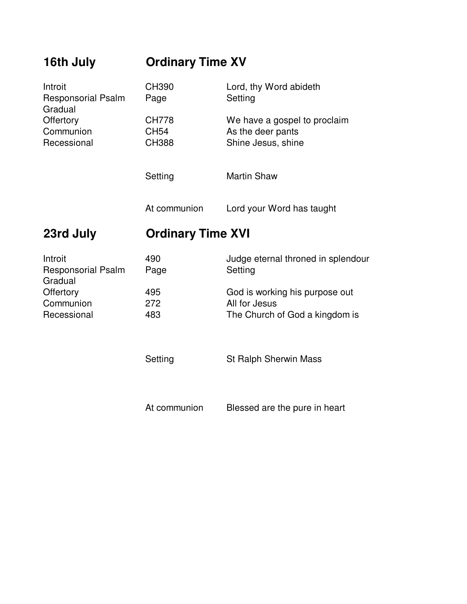| 16th July                                       | <b>Ordinary Time XV</b>                     |                                                                         |
|-------------------------------------------------|---------------------------------------------|-------------------------------------------------------------------------|
| Introit<br><b>Responsorial Psalm</b><br>Gradual | CH390<br>Page                               | Lord, thy Word abideth<br>Setting                                       |
| Offertory<br>Communion<br>Recessional           | <b>CH778</b><br><b>CH54</b><br><b>CH388</b> | We have a gospel to proclaim<br>As the deer pants<br>Shine Jesus, shine |
|                                                 | Setting                                     | <b>Martin Shaw</b>                                                      |
|                                                 | At communion                                | Lord your Word has taught                                               |
| 23rd July                                       | <b>Ordinary Time XVI</b>                    |                                                                         |
| Introit<br><b>Responsorial Psalm</b><br>Gradual | 490<br>Page                                 | Judge eternal throned in splendour<br>Setting                           |
| Offertory<br>Communion                          | 495<br>272                                  | God is working his purpose out<br>All for Jesus                         |
| Recessional                                     | 483                                         | The Church of God a kingdom is                                          |
|                                                 |                                             |                                                                         |
|                                                 | Setting                                     | <b>St Ralph Sherwin Mass</b>                                            |